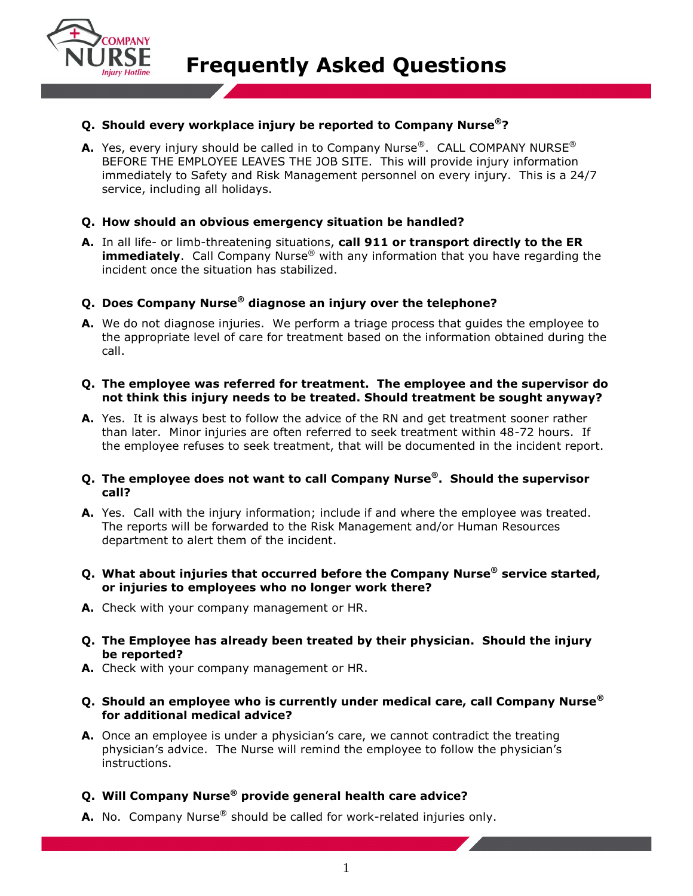

# **Q. Should every workplace injury be reported to Company Nurse®?**

**A.** Yes, every injury should be called in to Company Nurse®. CALL COMPANY NURSE® BEFORE THE EMPLOYEE LEAVES THE JOB SITE. This will provide injury information immediately to Safety and Risk Management personnel on every injury. This is a 24/7 service, including all holidays.

### **Q. How should an obvious emergency situation be handled?**

**A.** In all life- or limb-threatening situations, **call 911 or transport directly to the ER immediately**. Call Company Nurse<sup>®</sup> with any information that you have regarding the incident once the situation has stabilized.

### **Q. Does Company Nurse® diagnose an injury over the telephone?**

**A.** We do not diagnose injuries. We perform a triage process that guides the employee to the appropriate level of care for treatment based on the information obtained during the call.

#### **Q. The employee was referred for treatment. The employee and the supervisor do not think this injury needs to be treated. Should treatment be sought anyway?**

**A.** Yes. It is always best to follow the advice of the RN and get treatment sooner rather than later. Minor injuries are often referred to seek treatment within 48-72 hours. If the employee refuses to seek treatment, that will be documented in the incident report.

#### **Q. The employee does not want to call Company Nurse®. Should the supervisor call?**

- **A.** Yes. Call with the injury information; include if and where the employee was treated. The reports will be forwarded to the Risk Management and/or Human Resources department to alert them of the incident.
- **Q. What about injuries that occurred before the Company Nurse® service started, or injuries to employees who no longer work there?**
- **A.** Check with your company management or HR.
- **Q. The Employee has already been treated by their physician. Should the injury be reported?**
- **A.** Check with your company management or HR.
- **Q. Should an employee who is currently under medical care, call Company Nurse® for additional medical advice?**
- **A.** Once an employee is under a physician's care, we cannot contradict the treating physician's advice. The Nurse will remind the employee to follow the physician's instructions.

## **Q. Will Company Nurse® provide general health care advice?**

**A.** No. Company Nurse<sup>®</sup> should be called for work-related injuries only.